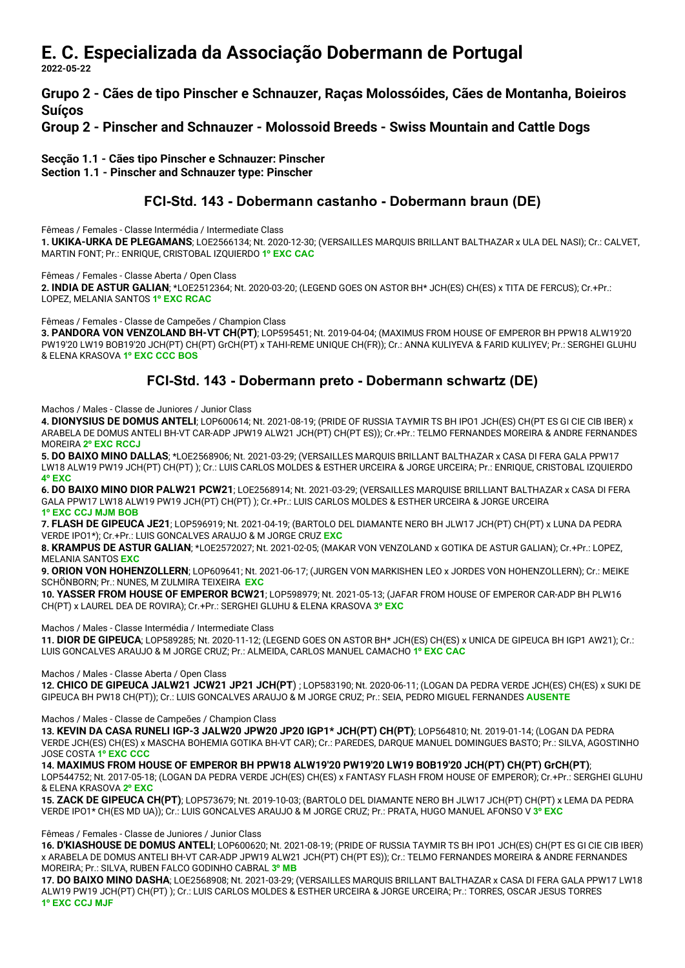## E. C. Especializada da Associação Dobermann de Portugal

2022-05-22

Grupo 2 - Cães de tipo Pinscher e Schnauzer, Raças Molossóides, Cães de Montanha, Boieiros Suíços

Group 2 - Pinscher and Schnauzer - Molossoid Breeds - Swiss Mountain and Cattle Dogs

Secção 1.1 - Cães tipo Pinscher e Schnauzer: Pinscher

Section 1.1 - Pinscher and Schnauzer type: Pinscher

### FCI-Std. 143 - Dobermann castanho - Dobermann braun (DE)

Fêmeas / Females - Classe Intermédia / Intermediate Class

1. UKIKA-URKA DE PLEGAMANS; LOE2566134; Nt. 2020-12-30; (VERSAILLES MARQUIS BRILLANT BALTHAZAR x ULA DEL NASI); Cr.: CALVET, MARTIN FONT; Pr.: ENRIQUE, CRISTOBAL IZQUIERDO 1º EXC CAC

Fêmeas / Females - Classe Aberta / Open Class

2. INDIA DE ASTUR GALIAN; \*LOE2512364; Nt. 2020-03-20; (LEGEND GOES ON ASTOR BH\* JCH(ES) CH(ES) x TITA DE FERCUS); Cr.+Pr.: LOPEZ, MELANIA SANTOS 1º EXC RCAC

Fêmeas / Females - Classe de Campeões / Champion Class

3. PANDORA VON VENZOLAND BH-VT CH(PT); LOP595451; Nt. 2019-04-04; (MAXIMUS FROM HOUSE OF EMPEROR BH PPW18 ALW19'20 PW19'20 LW19 BOB19'20 JCH(PT) CH(PT) GrCH(PT) x TAHI-REME UNIQUE CH(FR)); Cr.: ANNA KULIYEVA & FARID KULIYEV; Pr.: SERGHEI GLUHU & ELENA KRASOVA 1º EXC CCC BOS

### FCI-Std. 143 - Dobermann preto - Dobermann schwartz (DE)

#### Machos / Males - Classe de Juniores / Junior Class

4. DIONYSIUS DE DOMUS ANTELI; LOP600614; Nt. 2021-08-19; (PRIDE OF RUSSIA TAYMIR TS BH IPO1 JCH(ES) CH(PT ES GI CIE CIB IBER) x ARABELA DE DOMUS ANTELI BH-VT CAR-ADP JPW19 ALW21 JCH(PT) CH(PT ES)); Cr.+Pr.: TELMO FERNANDES MOREIRA & ANDRE FERNANDES MOREIRA 2º EXC RCCJ

5. DO BAIXO MINO DALLAS; \*LOE2568906; Nt. 2021-03-29; (VERSAILLES MARQUIS BRILLANT BALTHAZAR x CASA DI FERA GALA PPW17 LW18 ALW19 PW19 JCH(PT) CH(PT) ); Cr.: LUIS CARLOS MOLDES & ESTHER URCEIRA & JORGE URCEIRA; Pr.: ENRIQUE, CRISTOBAL IZQUIERDO 4º EXC

6. DO BAIXO MINO DIOR PALW21 PCW21; LOE2568914; Nt. 2021-03-29; (VERSAILLES MARQUISE BRILLIANT BALTHAZAR x CASA DI FERA GALA PPW17 LW18 ALW19 PW19 JCH(PT) CH(PT) ); Cr.+Pr.: LUIS CARLOS MOLDES & ESTHER URCEIRA & JORGE URCEIRA 1º EXC CCJ MJM BOB

7. FLASH DE GIPEUCA JE21; LOP596919; Nt. 2021-04-19; (BARTOLO DEL DIAMANTE NERO BH JLW17 JCH(PT) CH(PT) x LUNA DA PEDRA VERDE IPO1\*); Cr.+Pr.: LUIS GONCALVES ARAUJO & M JORGE CRUZ EXC

8. KRAMPUS DE ASTUR GALIAN; \*LOE2572027; Nt. 2021-02-05; (MAKAR VON VENZOLAND x GOTIKA DE ASTUR GALIAN); Cr.+Pr.: LOPEZ, MELANIA SANTOS EXC

9. ORION VON HOHENZOLLERN; LOP609641; Nt. 2021-06-17; (JURGEN VON MARKISHEN LEO x JORDES VON HOHENZOLLERN); Cr.: MEIKE SCHÖNBORN; Pr.: NUNES, M ZULMIRA TEIXEIRA EXC

10. YASSER FROM HOUSE OF EMPEROR BCW21; LOP598979; Nt. 2021-05-13; (JAFAR FROM HOUSE OF EMPEROR CAR-ADP BH PLW16 CH(PT) x LAUREL DEA DE ROVIRA); Cr.+Pr.: SERGHEI GLUHU & ELENA KRASOVA 3º EXC

Machos / Males - Classe Intermédia / Intermediate Class

11. DIOR DE GIPEUCA; LOP589285; Nt. 2020-11-12; (LEGEND GOES ON ASTOR BH\* JCH(ES) CH(ES) x UNICA DE GIPEUCA BH IGP1 AW21); Cr.: LUIS GONCALVES ARAUJO & M JORGE CRUZ; Pr.: ALMEIDA, CARLOS MANUEL CAMACHO 1º EXC CAC

Machos / Males - Classe Aberta / Open Class

12. CHICO DE GIPEUCA JALW21 JCW21 JP21 JCH(PT) ; LOP583190; Nt. 2020-06-11; (LOGAN DA PEDRA VERDE JCH(ES) CH(ES) x SUKI DE GIPEUCA BH PW18 CH(PT)); Cr.: LUIS GONCALVES ARAUJO & M JORGE CRUZ; Pr.: SEIA, PEDRO MIGUEL FERNANDES AUSENTE

Machos / Males - Classe de Campeões / Champion Class

13. KEVIN DA CASA RUNELI IGP-3 JALW20 JPW20 JP20 IGP1\* JCH(PT) CH(PT); LOP564810; Nt. 2019-01-14; (LOGAN DA PEDRA VERDE JCH(ES) CH(ES) x MASCHA BOHEMIA GOTIKA BH-VT CAR); Cr.: PAREDES, DARQUE MANUEL DOMINGUES BASTO; Pr.: SILVA, AGOSTINHO JOSE COSTA 1º EXC CCC

14. MAXIMUS FROM HOUSE OF EMPEROR BH PPW18 ALW19'20 PW19'20 LW19 BOB19'20 JCH(PT) CH(PT) GrCH(PT); LOP544752; Nt. 2017-05-18; (LOGAN DA PEDRA VERDE JCH(ES) CH(ES) x FANTASY FLASH FROM HOUSE OF EMPEROR); Cr.+Pr.: SERGHEI GLUHU & ELENA KRASOVA 2º EXC

15. ZACK DE GIPEUCA CH(PT); LOP573679; Nt. 2019-10-03; (BARTOLO DEL DIAMANTE NERO BH JLW17 JCH(PT) CH(PT) x LEMA DA PEDRA VERDE IPO1\* CH(ES MD UA)); Cr.: LUIS GONCALVES ARAUJO & M JORGE CRUZ; Pr.: PRATA, HUGO MANUEL AFONSO V 3º EXC

Fêmeas / Females - Classe de Juniores / Junior Class

16. D'KIASHOUSE DE DOMUS ANTELI; LOP600620; Nt. 2021-08-19; (PRIDE OF RUSSIA TAYMIR TS BH IPO1 JCH(ES) CH(PT ES GI CIE CIB IBER) x ARABELA DE DOMUS ANTELI BH-VT CAR-ADP JPW19 ALW21 JCH(PT) CH(PT ES)); Cr.: TELMO FERNANDES MOREIRA & ANDRE FERNANDES MOREIRA; Pr.: SILVA, RUBEN FALCO GODINHO CABRAL 3º MB

17. DO BAIXO MINO DASHA; LOE2568908; Nt. 2021-03-29; (VERSAILLES MARQUIS BRILLANT BALTHAZAR x CASA DI FERA GALA PPW17 LW18 ALW19 PW19 JCH(PT) CH(PT) ); Cr.: LUIS CARLOS MOLDES & ESTHER URCEIRA & JORGE URCEIRA; Pr.: TORRES, OSCAR JESUS TORRES 1º EXC CCJ MJF